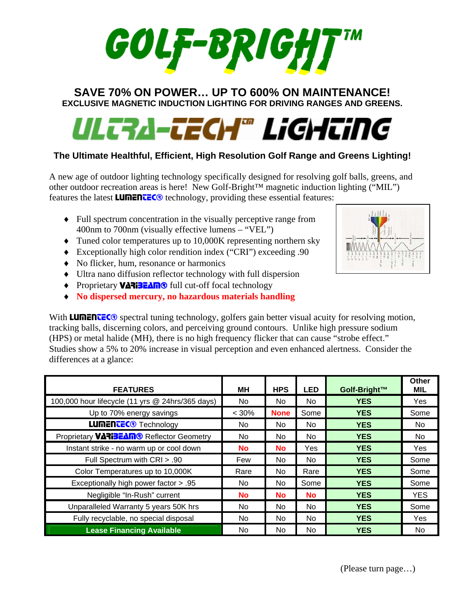# **SAVE 70% ON POWER… UP TO 600% ON MAINTENANCE! EXCLUSIVE MAGNETIC INDUCTION LIGHTING FOR DRIVING RANGES AND GREENS.**

# UL<del>ERA-TECH</del>® LiGHEiNG

## **The Ultimate Healthful, Efficient, High Resolution Golf Range and Greens Lighting!**

A new age of outdoor lighting technology specifically designed for resolving golf balls, greens, and other outdoor recreation areas is here! New Golf-Bright™ magnetic induction lighting ("MIL") features the latest **LUMENTEC®** technology, providing these essential features:

- ♦ Full spectrum concentration in the visually perceptive range from 400nm to 700nm (visually effective lumens – "VEL")
- ♦ Tuned color temperatures up to 10,000K representing northern sky
- ♦ Exceptionally high color rendition index ("CRI") exceeding .90
- ♦ No flicker, hum, resonance or harmonics
- ♦ Ultra nano diffusion reflector technology with full dispersion
- Proprietary **VARIBEAM®** full cut-off focal technology
- ♦ **No dispersed mercury, no hazardous materials handling**

With **LUMENTEC**® spectral tuning technology, golfers gain better visual acuity for resolving motion, tracking balls, discerning colors, and perceiving ground contours. Unlike high pressure sodium (HPS) or metal halide (MH), there is no high frequency flicker that can cause "strobe effect." Studies show a 5% to 20% increase in visual perception and even enhanced alertness. Consider the differences at a glance:

| <b>FEATURES</b>                                  | MН        | <b>HPS</b>  | <b>LED</b> | Golf-Bright™ | Other<br><b>MIL</b> |
|--------------------------------------------------|-----------|-------------|------------|--------------|---------------------|
| 100,000 hour lifecycle (11 yrs @ 24hrs/365 days) | No.       | No.         | No.        | <b>YES</b>   | Yes                 |
| Up to 70% energy savings                         | $< 30\%$  | <b>None</b> | Some       | <b>YES</b>   | Some                |
| <b>LUMENTEC®</b> Technology                      | No.       | No.         | No.        | <b>YES</b>   | No.                 |
| Proprietary <b>VARIBEAM®</b> Reflector Geometry  | No.       | No.         | No.        | <b>YES</b>   | No.                 |
| Instant strike - no warm up or cool down         | <b>No</b> | <b>No</b>   | Yes        | <b>YES</b>   | Yes                 |
| Full Spectrum with CRI > .90                     | Few       | No.         | No.        | <b>YES</b>   | Some                |
| Color Temperatures up to 10,000K                 | Rare      | No.         | Rare       | <b>YES</b>   | Some                |
| Exceptionally high power factor > .95            | No.       | No.         | Some       | <b>YES</b>   | Some                |
| Negligible "In-Rush" current                     | <b>No</b> | No.         | <b>No</b>  | <b>YES</b>   | <b>YES</b>          |
| Unparalleled Warranty 5 years 50K hrs            | No.       | No.         | No.        | <b>YES</b>   | Some                |
| Fully recyclable, no special disposal            | No.       | No.         | No.        | <b>YES</b>   | Yes                 |
| <b>Lease Financing Available</b>                 | No.       | No.         | No.        | <b>YES</b>   | No.                 |